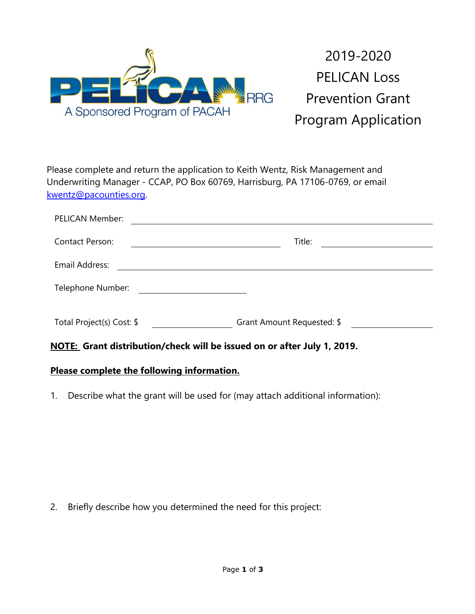

2019-2020 PELICAN Loss Prevention Grant Program Application

Please complete and return the application to Keith Wentz, Risk Management and Underwriting Manager - CCAP, PO Box 60769, Harrisburg, PA 17106-0769, or email [kwentz@pacounties.org.](mailto:kwentz@pacounties.org)

| PELICAN Member:           |                                                                                           |
|---------------------------|-------------------------------------------------------------------------------------------|
| Contact Person:           | Title:<br>the contract of the contract of the contract of the contract of the contract of |
| Email Address:            |                                                                                           |
| Telephone Number:         |                                                                                           |
| Total Project(s) Cost: \$ | Grant Amount Requested: \$                                                                |

**NOTE: Grant distribution/check will be issued on or after July 1, 2019.**

## **Please complete the following information.**

1. Describe what the grant will be used for (may attach additional information):

2. Briefly describe how you determined the need for this project: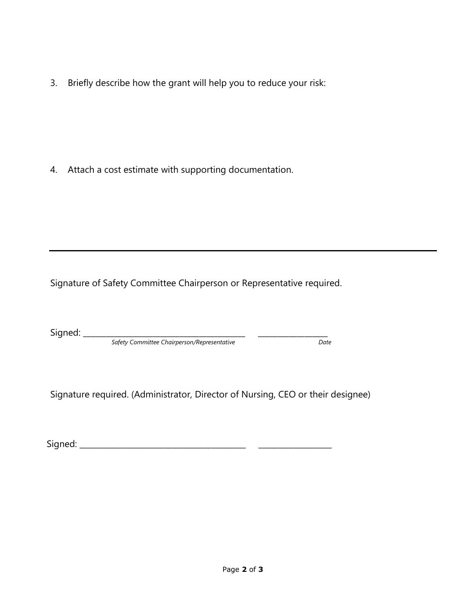3. Briefly describe how the grant will help you to reduce your risk:

4. Attach a cost estimate with supporting documentation.

Signature of Safety Committee Chairperson or Representative required.

Signed: \_\_\_\_\_\_\_\_\_\_\_\_\_\_\_\_\_\_\_\_\_\_\_\_\_\_\_\_\_\_\_\_\_\_\_\_\_\_\_\_\_\_ \_\_\_\_\_\_\_\_\_\_\_\_\_\_\_\_\_\_

 *Safety Committee Chairperson/Representative Date*

Signature required. (Administrator, Director of Nursing, CEO or their designee)

Signed: \_\_\_\_\_\_\_\_\_\_\_\_\_\_\_\_\_\_\_\_\_\_\_\_\_\_\_\_\_\_\_\_\_\_\_\_\_\_\_\_\_\_\_ \_\_\_\_\_\_\_\_\_\_\_\_\_\_\_\_\_\_\_